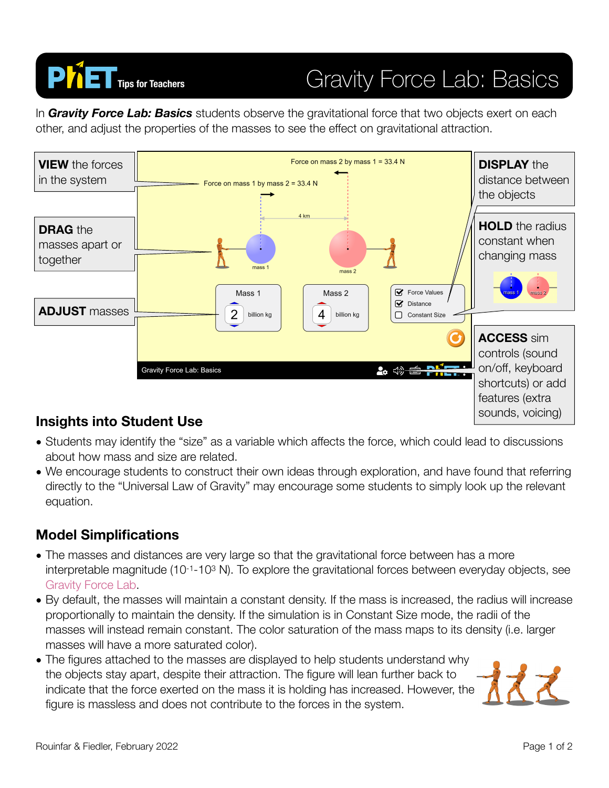

# **PIET** Tips for Teachers **Gravity Force Lab: Basics**

In *Gravity Force Lab: Basics* students observe the gravitational force that two objects exert on each other, and adjust the properties of the masses to see the effect on gravitational attraction.



### **Insights into Student Use**

- Students may identify the "size" as a variable which affects the force, which could lead to discussions about how mass and size are related.
- We encourage students to construct their own ideas through exploration, and have found that referring directly to the "Universal Law of Gravity" may encourage some students to simply look up the relevant equation.

### **Model Simplifications**

- The masses and distances are very large so that the gravitational force between has a more interpretable magnitude (10-1-103 N). To explore the gravitational forces between everyday objects, see [Gravity Force Lab.](https://phet.colorado.edu/en/simulation/gravity-force-lab)
- By default, the masses will maintain a constant density. If the mass is increased, the radius will increase proportionally to maintain the density. If the simulation is in Constant Size mode, the radii of the masses will instead remain constant. The color saturation of the mass maps to its density (i.e. larger masses will have a more saturated color).
- The figures attached to the masses are displayed to help students understand why the objects stay apart, despite their attraction. The figure will lean further back to indicate that the force exerted on the mass it is holding has increased. However, the figure is massless and does not contribute to the forces in the system.